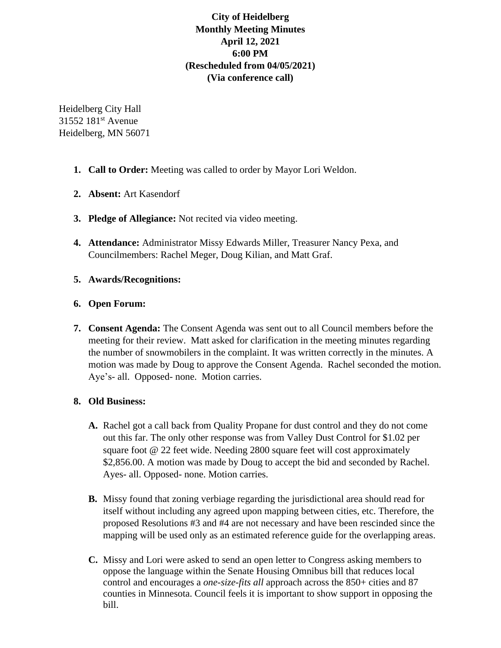# **City of Heidelberg Monthly Meeting Minutes April 12, 2021 6:00 PM (Rescheduled from 04/05/2021) (Via conference call)**

Heidelberg City Hall 31552 181<sup>st</sup> Avenue Heidelberg, MN 56071

- **1. Call to Order:** Meeting was called to order by Mayor Lori Weldon.
- **2. Absent:** Art Kasendorf
- **3. Pledge of Allegiance:** Not recited via video meeting.
- **4. Attendance:** Administrator Missy Edwards Miller, Treasurer Nancy Pexa, and Councilmembers: Rachel Meger, Doug Kilian, and Matt Graf.
- **5. Awards/Recognitions:**

# **6. Open Forum:**

**7. Consent Agenda:** The Consent Agenda was sent out to all Council members before the meeting for their review. Matt asked for clarification in the meeting minutes regarding the number of snowmobilers in the complaint. It was written correctly in the minutes. A motion was made by Doug to approve the Consent Agenda. Rachel seconded the motion. Aye's- all. Opposed- none. Motion carries.

# **8. Old Business:**

- **A.** Rachel got a call back from Quality Propane for dust control and they do not come out this far. The only other response was from Valley Dust Control for \$1.02 per square foot @ 22 feet wide. Needing 2800 square feet will cost approximately \$2,856.00. A motion was made by Doug to accept the bid and seconded by Rachel. Ayes- all. Opposed- none. Motion carries.
- **B.** Missy found that zoning verbiage regarding the jurisdictional area should read for itself without including any agreed upon mapping between cities, etc. Therefore, the proposed Resolutions #3 and #4 are not necessary and have been rescinded since the mapping will be used only as an estimated reference guide for the overlapping areas.
- **C.** Missy and Lori were asked to send an open letter to Congress asking members to oppose the language within the Senate Housing Omnibus bill that reduces local control and encourages a *one-size-fits all* approach across the 850+ cities and 87 counties in Minnesota. Council feels it is important to show support in opposing the bill.